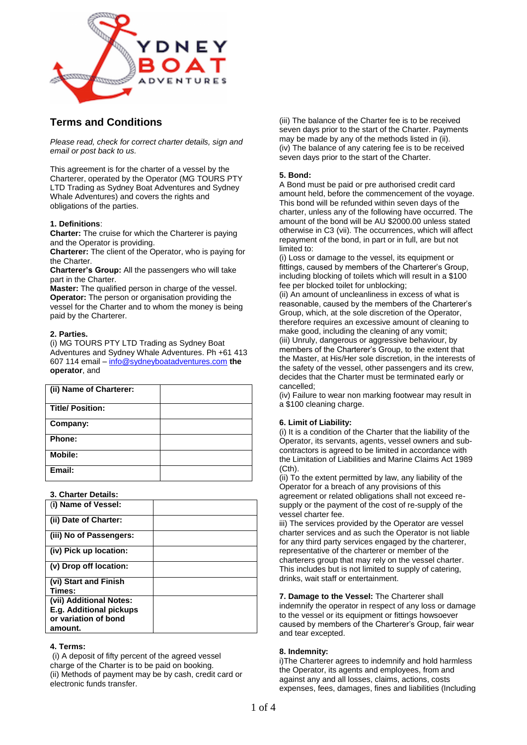

# **Terms and Conditions**

*Please read, check for correct charter details, sign and email or post back to us.*

This agreement is for the charter of a vessel by the Charterer, operated by the Operator (MG TOURS PTY LTD Trading as Sydney Boat Adventures and Sydney Whale Adventures) and covers the rights and obligations of the parties.

# **1. Definitions**:

**Charter:** The cruise for which the Charterer is paying and the Operator is providing.

**Charterer:** The client of the Operator, who is paying for the Charter.

**Charterer's Group:** All the passengers who will take part in the Charter.

**Master:** The qualified person in charge of the vessel. **Operator:** The person or organisation providing the vessel for the Charter and to whom the money is being paid by the Charterer.

# **2. Parties.**

(i) MG TOURS PTY LTD Trading as Sydney Boat Adventures and Sydney Whale Adventures. Ph +61 413 607 114 email – [info@sydneyboatadventures.com](mailto:info@sydneyboatadventures.com) **the operator**, and

| (ii) Name of Charterer: |  |
|-------------------------|--|
| <b>Title/ Position:</b> |  |
| Company:                |  |
| Phone:                  |  |
| <b>Mobile:</b>          |  |
| Email:                  |  |

**3. Charter Details:**

| (i) Name of Vessel:            |  |
|--------------------------------|--|
| (ii) Date of Charter:          |  |
| (iii) No of Passengers:        |  |
| (iv) Pick up location:         |  |
| (v) Drop off location:         |  |
| (vi) Start and Finish          |  |
| Times:                         |  |
| (vii) Additional Notes:        |  |
| <b>E.g. Additional pickups</b> |  |
| or variation of bond           |  |
| amount.                        |  |

# **4. Terms:**

(i) A deposit of fifty percent of the agreed vessel charge of the Charter is to be paid on booking. (ii) Methods of payment may be by cash, credit card or electronic funds transfer.

(iii) The balance of the Charter fee is to be received seven days prior to the start of the Charter. Payments may be made by any of the methods listed in (ii). (iv) The balance of any catering fee is to be received seven days prior to the start of the Charter.

# **5. Bond:**

A Bond must be paid or pre authorised credit card amount held, before the commencement of the voyage. This bond will be refunded within seven days of the charter, unless any of the following have occurred. The amount of the bond will be AU \$2000.00 unless stated otherwise in C3 (vii). The occurrences, which will affect repayment of the bond, in part or in full, are but not limited to:

(i) Loss or damage to the vessel, its equipment or fittings, caused by members of the Charterer's Group, including blocking of toilets which will result in a \$100 fee per blocked toilet for unblocking;

(ii) An amount of uncleanliness in excess of what is reasonable, caused by the members of the Charterer's Group, which, at the sole discretion of the Operator, therefore requires an excessive amount of cleaning to make good, including the cleaning of any vomit; (iii) Unruly, dangerous or aggressive behaviour, by members of the Charterer's Group, to the extent that the Master, at His/Her sole discretion, in the interests of the safety of the vessel, other passengers and its crew, decides that the Charter must be terminated early or cancelled;

(iv) Failure to wear non marking footwear may result in a \$100 cleaning charge.

# **6. Limit of Liability:**

(i) It is a condition of the Charter that the liability of the Operator, its servants, agents, vessel owners and subcontractors is agreed to be limited in accordance with the Limitation of Liabilities and Marine Claims Act 1989 (Cth).

(ii) To the extent permitted by law, any liability of the Operator for a breach of any provisions of this agreement or related obligations shall not exceed resupply or the payment of the cost of re-supply of the vessel charter fee.

iii) The services provided by the Operator are vessel charter services and as such the Operator is not liable for any third party services engaged by the charterer, representative of the charterer or member of the charterers group that may rely on the vessel charter. This includes but is not limited to supply of catering, drinks, wait staff or entertainment.

**7. Damage to the Vessel:** The Charterer shall indemnify the operator in respect of any loss or damage to the vessel or its equipment or fittings howsoever caused by members of the Charterer's Group, fair wear and tear excepted.

# **8. Indemnity:**

i)The Charterer agrees to indemnify and hold harmless the Operator, its agents and employees, from and against any and all losses, claims, actions, costs expenses, fees, damages, fines and liabilities (Including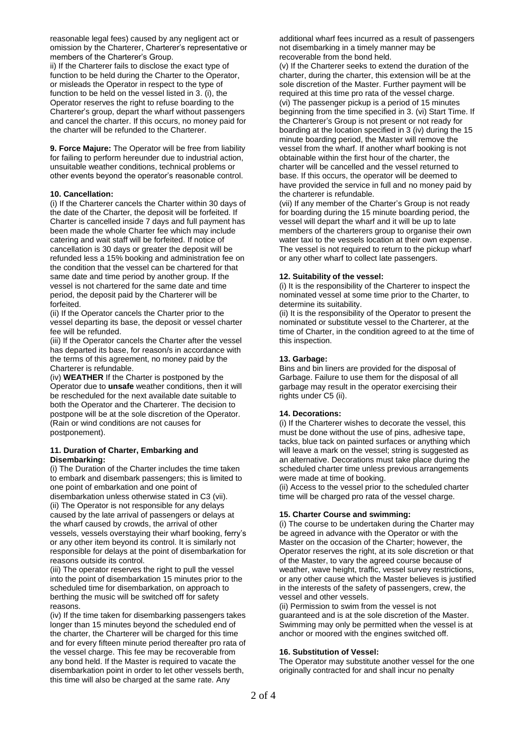reasonable legal fees) caused by any negligent act or omission by the Charterer, Charterer's representative or members of the Charterer's Group.

ii) If the Charterer fails to disclose the exact type of function to be held during the Charter to the Operator, or misleads the Operator in respect to the type of function to be held on the vessel listed in 3. (i), the Operator reserves the right to refuse boarding to the Charterer's group, depart the wharf without passengers and cancel the charter. If this occurs, no money paid for the charter will be refunded to the Charterer.

**9. Force Majure:** The Operator will be free from liability for failing to perform hereunder due to industrial action, unsuitable weather conditions, technical problems or other events beyond the operator's reasonable control.

### **10. Cancellation:**

(i) If the Charterer cancels the Charter within 30 days of the date of the Charter, the deposit will be forfeited. If Charter is cancelled inside 7 days and full payment has been made the whole Charter fee which may include catering and wait staff will be forfeited. If notice of cancellation is 30 days or greater the deposit will be refunded less a 15% booking and administration fee on the condition that the vessel can be chartered for that same date and time period by another group. If the vessel is not chartered for the same date and time period, the deposit paid by the Charterer will be forfeited.

(ii) If the Operator cancels the Charter prior to the vessel departing its base, the deposit or vessel charter fee will be refunded.

(iii) If the Operator cancels the Charter after the vessel has departed its base, for reason/s in accordance with the terms of this agreement, no money paid by the Charterer is refundable.

(iv) **WEATHER** If the Charter is postponed by the Operator due to **unsafe** weather conditions, then it will be rescheduled for the next available date suitable to both the Operator and the Charterer. The decision to postpone will be at the sole discretion of the Operator. (Rain or wind conditions are not causes for postponement).

### **11. Duration of Charter, Embarking and Disembarking:**

(i) The Duration of the Charter includes the time taken to embark and disembark passengers; this is limited to one point of embarkation and one point of disembarkation unless otherwise stated in C3 (vii). (ii) The Operator is not responsible for any delays caused by the late arrival of passengers or delays at the wharf caused by crowds, the arrival of other vessels, vessels overstaying their wharf booking, ferry's or any other item beyond its control. It is similarly not

responsible for delays at the point of disembarkation for reasons outside its control.

(iii) The operator reserves the right to pull the vessel into the point of disembarkation 15 minutes prior to the scheduled time for disembarkation, on approach to berthing the music will be switched off for safety reasons.

(iv) If the time taken for disembarking passengers takes longer than 15 minutes beyond the scheduled end of the charter, the Charterer will be charged for this time and for every fifteen minute period thereafter pro rata of the vessel charge. This fee may be recoverable from any bond held. If the Master is required to vacate the disembarkation point in order to let other vessels berth, this time will also be charged at the same rate. Any

additional wharf fees incurred as a result of passengers not disembarking in a timely manner may be recoverable from the bond held.

(v) If the Charterer seeks to extend the duration of the charter, during the charter, this extension will be at the sole discretion of the Master. Further payment will be required at this time pro rata of the vessel charge. (vi) The passenger pickup is a period of 15 minutes beginning from the time specified in 3. (vi) Start Time. If the Charterer's Group is not present or not ready for boarding at the location specified in 3 (iv) during the 15 minute boarding period, the Master will remove the vessel from the wharf. If another wharf booking is not obtainable within the first hour of the charter, the charter will be cancelled and the vessel returned to base. If this occurs, the operator will be deemed to have provided the service in full and no money paid by the charterer is refundable.

(vii) If any member of the Charter's Group is not ready for boarding during the 15 minute boarding period, the vessel will depart the wharf and it will be up to late members of the charterers group to organise their own water taxi to the vessels location at their own expense. The vessel is not required to return to the pickup wharf or any other wharf to collect late passengers.

### **12. Suitability of the vessel:**

(i) It is the responsibility of the Charterer to inspect the nominated vessel at some time prior to the Charter, to determine its suitability.

(ii) It is the responsibility of the Operator to present the nominated or substitute vessel to the Charterer, at the time of Charter, in the condition agreed to at the time of this inspection.

## **13. Garbage:**

Bins and bin liners are provided for the disposal of Garbage. Failure to use them for the disposal of all garbage may result in the operator exercising their rights under C5 (ii).

#### **14. Decorations:**

(i) If the Charterer wishes to decorate the vessel, this must be done without the use of pins, adhesive tape, tacks, blue tack on painted surfaces or anything which will leave a mark on the vessel; string is suggested as an alternative. Decorations must take place during the scheduled charter time unless previous arrangements were made at time of booking.

(ii) Access to the vessel prior to the scheduled charter time will be charged pro rata of the vessel charge.

# **15. Charter Course and swimming:**

(i) The course to be undertaken during the Charter may be agreed in advance with the Operator or with the Master on the occasion of the Charter; however, the Operator reserves the right, at its sole discretion or that of the Master, to vary the agreed course because of weather, wave height, traffic, vessel survey restrictions, or any other cause which the Master believes is justified in the interests of the safety of passengers, crew, the vessel and other vessels.

(ii) Permission to swim from the vessel is not guaranteed and is at the sole discretion of the Master. Swimming may only be permitted when the vessel is at anchor or moored with the engines switched off.

# **16. Substitution of Vessel:**

The Operator may substitute another vessel for the one originally contracted for and shall incur no penalty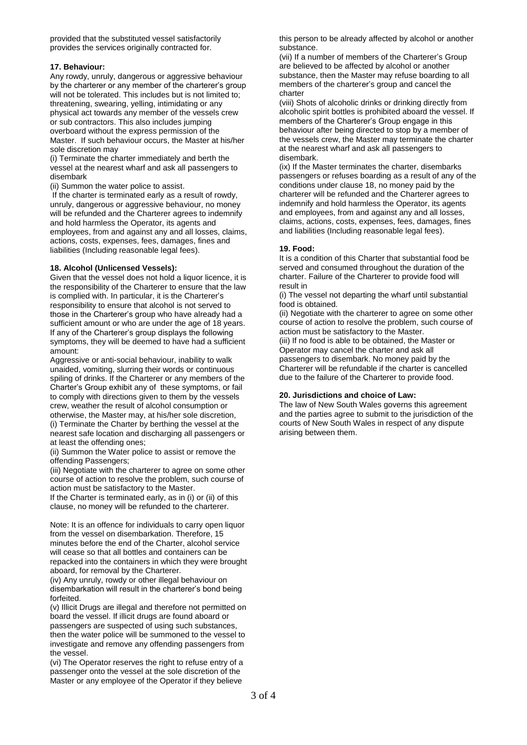provided that the substituted vessel satisfactorily provides the services originally contracted for.

## **17. Behaviour:**

Any rowdy, unruly, dangerous or aggressive behaviour by the charterer or any member of the charterer's group will not be tolerated. This includes but is not limited to: threatening, swearing, yelling, intimidating or any physical act towards any member of the vessels crew or sub contractors. This also includes jumping overboard without the express permission of the Master. If such behaviour occurs, the Master at his/her sole discretion may

(i) Terminate the charter immediately and berth the vessel at the nearest wharf and ask all passengers to disembark

(ii) Summon the water police to assist.

If the charter is terminated early as a result of rowdy, unruly, dangerous or aggressive behaviour, no money will be refunded and the Charterer agrees to indemnify and hold harmless the Operator, its agents and employees, from and against any and all losses, claims, actions, costs, expenses, fees, damages, fines and liabilities (Including reasonable legal fees).

### **18. Alcohol (Unlicensed Vessels):**

Given that the vessel does not hold a liquor licence, it is the responsibility of the Charterer to ensure that the law is complied with. In particular, it is the Charterer's responsibility to ensure that alcohol is not served to those in the Charterer's group who have already had a sufficient amount or who are under the age of 18 years. If any of the Charterer's group displays the following symptoms, they will be deemed to have had a sufficient amount:

Aggressive or anti-social behaviour, inability to walk unaided, vomiting, slurring their words or continuous spiling of drinks. If the Charterer or any members of the Charter's Group exhibit any of these symptoms, or fail to comply with directions given to them by the vessels crew, weather the result of alcohol consumption or otherwise, the Master may, at his/her sole discretion, (i) Terminate the Charter by berthing the vessel at the nearest safe location and discharging all passengers or at least the offending ones;

(ii) Summon the Water police to assist or remove the offending Passengers;

(iii) Negotiate with the charterer to agree on some other course of action to resolve the problem, such course of action must be satisfactory to the Master.

If the Charter is terminated early, as in (i) or (ii) of this clause, no money will be refunded to the charterer.

Note: It is an offence for individuals to carry open liquor from the vessel on disembarkation. Therefore, 15 minutes before the end of the Charter, alcohol service will cease so that all bottles and containers can be repacked into the containers in which they were brought aboard, for removal by the Charterer.

(iv) Any unruly, rowdy or other illegal behaviour on disembarkation will result in the charterer's bond being forfeited.

(v) Illicit Drugs are illegal and therefore not permitted on board the vessel. If illicit drugs are found aboard or passengers are suspected of using such substances, then the water police will be summoned to the vessel to investigate and remove any offending passengers from the vessel.

(vi) The Operator reserves the right to refuse entry of a passenger onto the vessel at the sole discretion of the Master or any employee of the Operator if they believe

this person to be already affected by alcohol or another substance.

(vii) If a number of members of the Charterer's Group are believed to be affected by alcohol or another substance, then the Master may refuse boarding to all members of the charterer's group and cancel the charter

(viii) Shots of alcoholic drinks or drinking directly from alcoholic spirit bottles is prohibited aboard the vessel. If members of the Charterer's Group engage in this behaviour after being directed to stop by a member of the vessels crew, the Master may terminate the charter at the nearest wharf and ask all passengers to disembark.

(ix) If the Master terminates the charter, disembarks passengers or refuses boarding as a result of any of the conditions under clause 18, no money paid by the charterer will be refunded and the Charterer agrees to indemnify and hold harmless the Operator, its agents and employees, from and against any and all losses, claims, actions, costs, expenses, fees, damages, fines and liabilities (Including reasonable legal fees).

## **19. Food:**

It is a condition of this Charter that substantial food be served and consumed throughout the duration of the charter. Failure of the Charterer to provide food will result in

(i) The vessel not departing the wharf until substantial food is obtained.

(ii) Negotiate with the charterer to agree on some other course of action to resolve the problem, such course of action must be satisfactory to the Master.

(iii) If no food is able to be obtained, the Master or Operator may cancel the charter and ask all passengers to disembark. No money paid by the Charterer will be refundable if the charter is cancelled due to the failure of the Charterer to provide food.

### **20. Jurisdictions and choice of Law:**

The law of New South Wales governs this agreement and the parties agree to submit to the jurisdiction of the courts of New South Wales in respect of any dispute arising between them.